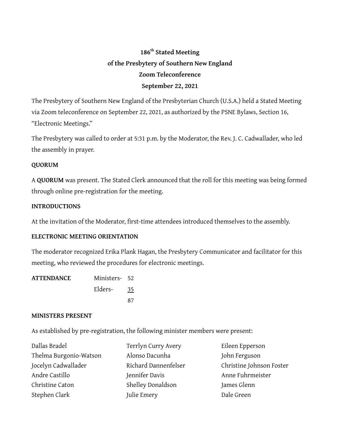# **186th Stated Meeting of the Presbytery of Southern New England Zoom Teleconference September 22, 2021**

The Presbytery of Southern New England of the Presbyterian Church (U.S.A.) held a Stated Meeting via Zoom teleconference on September 22, 2021, as authorized by the PSNE Bylaws, Section 16, "Electronic Meetings."

The Presbytery was called to order at 5:31 p.m. by the Moderator, the Rev. J. C. Cadwallader, who led the assembly in prayer.

### **QUORUM**

A **QUORUM** was present. The Stated Clerk announced that the roll for this meeting was being formed through online pre-registration for the meeting.

#### **INTRODUCTIONS**

At the invitation of the Moderator, first-time attendees introduced themselves to the assembly.

#### **ELECTRONIC MEETING ORIENTATION**

The moderator recognized Erika Plank Hagan, the Presbytery Communicator and facilitator for this meeting, who reviewed the procedures for electronic meetings.

| <b>ATTENDANCE</b> | Ministers- 52 |    |
|-------------------|---------------|----|
|                   | Elders-       | 35 |
|                   |               | 87 |

#### **MINISTERS PRESENT**

As established by pre-registration, the following minister members were present:

| Dallas Bradel          | Terrlyn Curry Avery  | Eileen Epperson          |
|------------------------|----------------------|--------------------------|
| Thelma Burgonio-Watson | Alonso Dacunha       | John Ferguson            |
| Jocelyn Cadwallader    | Richard Dannenfelser | Christine Johnson Foster |
| Andre Castillo         | Jennifer Davis       | Anne Fuhrmeister         |
| Christine Caton        | Shelley Donaldson    | James Glenn              |
| Stephen Clark          | Julie Emery          | Dale Green               |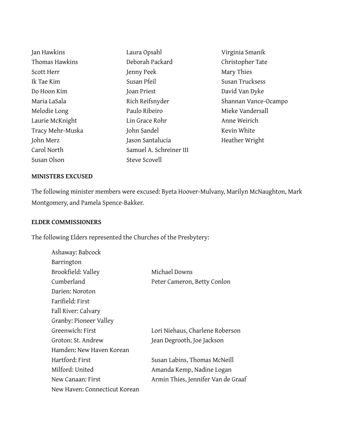Jan Hawkins Thomas Hawkins Scott Herr Ik Tae Kim Do Hoon Kim Maria LaSala Melodie Long Laurie McKnight Tracy Mehr-Muska John Merz Carol North Susan Olson Laura Opsahl Deborah Packard Jenny Peek Susan Pfeil Joan Priest Rich Reifsnyder Paulo Ribeiro Lin Grace Rohr John Sandel Jason Santalucia Samuel A. Schreiner III Steve Scovell

Virginia Smanik Christopher Tate Mary Thies Susan Trucksess David Van Dyke Shannan Vance-Ocampo Mieke Vandersall Anne Weirich Kevin White Heather Wright

#### **MINISTERS EXCUSED**

The following minister members were excused: Byeta Hoover-Mulvany, Marilyn McNaughton, Mark Montgomery, and Pamela Spence-Bakker.

#### **ELDER COMMISSIONERS**

Ashaway: Babcock

The following Elders represented the Churches of the Presbytery:

| Barrington                    |                                    |
|-------------------------------|------------------------------------|
| Brookfield: Valley            | Michael Downs                      |
| Cumberland                    | Peter Cameron, Betty Conlon        |
| Darien: Noroton               |                                    |
| Farifield: First              |                                    |
| Fall River: Calvary           |                                    |
| Granby: Pioneer Valley        |                                    |
| Greenwich: First              | Lori Niehaus, Charlene Roberson    |
| Groton: St. Andrew            | Jean Degrooth, Joe Jackson         |
| Hamden: New Haven Korean      |                                    |
| Hartford: First               | Susan Labins, Thomas McNeill       |
| Milford: United               | Amanda Kemp, Nadine Logan          |
| New Canaan: First             | Armin Thies, Jennifer Van de Graaf |
| New Haven: Connecticut Korean |                                    |
|                               |                                    |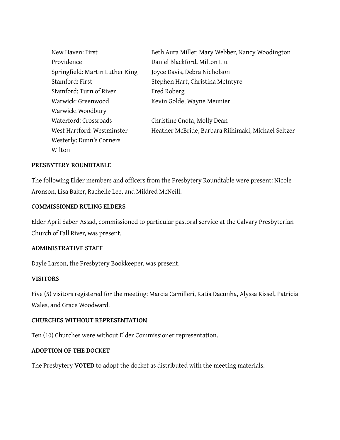| New Haven: First                | Beth Aura Miller, Mary Webber, Nancy Woodington     |
|---------------------------------|-----------------------------------------------------|
| Providence                      | Daniel Blackford, Milton Liu                        |
| Springfield: Martin Luther King | Joyce Davis, Debra Nicholson                        |
| Stamford: First                 | Stephen Hart, Christina McIntyre                    |
| Stamford: Turn of River         | Fred Roberg                                         |
| Warwick: Greenwood              | Kevin Golde, Wayne Meunier                          |
| Warwick: Woodbury               |                                                     |
| Waterford: Crossroads           | Christine Cnota, Molly Dean                         |
| West Hartford: Westminster      | Heather McBride, Barbara Riihimaki, Michael Seltzer |
| Westerly: Dunn's Corners        |                                                     |
| Wilton                          |                                                     |

#### **PRESBYTERY ROUNDTABLE**

The following Elder members and officers from the Presbytery Roundtable were present: Nicole Aronson, Lisa Baker, Rachelle Lee, and Mildred McNeill.

#### **COMMISSIONED RULING ELDERS**

Elder April Saber-Assad, commissioned to particular pastoral service at the Calvary Presbyterian Church of Fall River, was present.

#### **ADMINISTRATIVE STAFF**

Dayle Larson, the Presbytery Bookkeeper, was present.

#### **VISITORS**

Five (5) visitors registered for the meeting: Marcia Camilleri, Katia Dacunha, Alyssa Kissel, Patricia Wales, and Grace Woodward.

#### **CHURCHES WITHOUT REPRESENTATION**

Ten (10) Churches were without Elder Commissioner representation.

#### **ADOPTION OF THE DOCKET**

The Presbytery **VOTED** to adopt the docket as distributed with the meeting materials.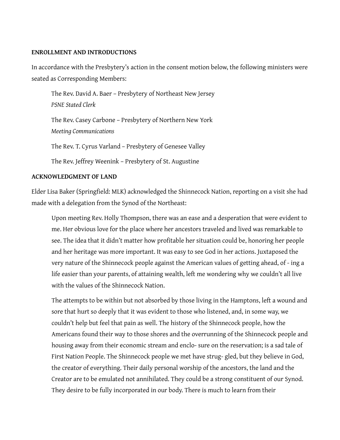#### **ENROLLMENT AND INTRODUCTIONS**

In accordance with the Presbytery's action in the consent motion below, the following ministers were seated as Corresponding Members:

The Rev. David A. Baer – Presbytery of Northeast New Jersey *PSNE Stated Clerk* The Rev. Casey Carbone – Presbytery of Northern New York

*Meeting Communications*

The Rev. T. Cyrus Varland – Presbytery of Genesee Valley

The Rev. Jeffrey Weenink – Presbytery of St. Augustine

#### **ACKNOWLEDGMENT OF LAND**

Elder Lisa Baker (Springfield: MLK) acknowledged the Shinnecock Nation, reporting on a visit she had made with a delegation from the Synod of the Northeast:

Upon meeting Rev. Holly Thompson, there was an ease and a desperation that were evident to me. Her obvious love for the place where her ancestors traveled and lived was remarkable to see. The idea that it didn't matter how profitable her situation could be, honoring her people and her heritage was more important. It was easy to see God in her actions. Juxtaposed the very nature of the Shinnecock people against the American values of getting ahead, of - ing a life easier than your parents, of attaining wealth, left me wondering why we couldn't all live with the values of the Shinnecock Nation.

The attempts to be within but not absorbed by those living in the Hamptons, left a wound and sore that hurt so deeply that it was evident to those who listened, and, in some way, we couldn't help but feel that pain as well. The history of the Shinnecock people, how the Americans found their way to those shores and the overrunning of the Shinnecock people and housing away from their economic stream and enclo- sure on the reservation; is a sad tale of First Nation People. The Shinnecock people we met have strug- gled, but they believe in God, the creator of everything. Their daily personal worship of the ancestors, the land and the Creator are to be emulated not annihilated. They could be a strong constituent of our Synod. They desire to be fully incorporated in our body. There is much to learn from their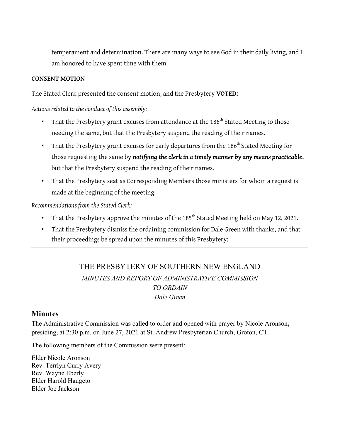temperament and determination. There are many ways to see God in their daily living, and I am honored to have spent time with them.

#### **CONSENT MOTION**

The Stated Clerk presented the consent motion, and the Presbytery **VOTED:** 

*Actions related to the conduct of this assembly:*

- That the Presbytery grant excuses from attendance at the 186<sup>th</sup> Stated Meeting to those needing the same, but that the Presbytery suspend the reading of their names.
- That the Presbytery grant excuses for early departures from the 186<sup>th</sup> Stated Meeting for those requesting the same by *notifying the clerk in a timely manner by any means practicable*, but that the Presbytery suspend the reading of their names.
- That the Presbytery seat as Corresponding Members those ministers for whom a request is made at the beginning of the meeting.

*Recommendations from the Stated Clerk:*

- That the Presbytery approve the minutes of the 185<sup>th</sup> Stated Meeting held on May 12, 2021.
- That the Presbytery dismiss the ordaining commission for Dale Green with thanks, and that their proceedings be spread upon the minutes of this Presbytery:

# THE PRESBYTERY OF SOUTHERN NEW ENGLAND *MINUTES AND REPORT OF ADMINISTRATIVE COMMISSION TO ORDAIN Dale Green*

# **Minutes**

The Administrative Commission was called to order and opened with prayer by Nicole Aronson**,** presiding, at 2:30 p.m. on June 27, 2021 at St. Andrew Presbyterian Church, Groton, CT.

The following members of the Commission were present:

Elder Nicole Aronson Rev. Terrlyn Curry Avery Rev. Wayne Eberly Elder Harold Haugeto Elder Joe Jackson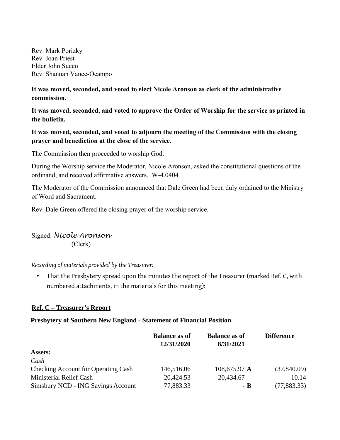Rev. Mark Porizky Rev. Joan Priest Elder John Succo Rev. Shannan Vance-Ocampo

**It was moved, seconded, and voted to elect Nicole Aronson as clerk of the administrative commission.**

**It was moved, seconded, and voted to approve the Order of Worship for the service as printed in the bulletin.**

# **It was moved, seconded, and voted to adjourn the meeting of the Commission with the closing prayer and benediction at the close of the service.**

The Commission then proceeded to worship God.

During the Worship service the Moderator, Nicole Aronson, asked the constitutional questions of the ordinand, and received affirmative answers. W-4.0404

The Moderator of the Commission announced that Dale Green had been duly ordained to the Ministry of Word and Sacrament.

Rev. Dale Green offered the closing prayer of the worship service.

# Signed: *Nicole Aronson* (Clerk)

*Recording of materials provided by the Treasurer:*

• That the Presbytery spread upon the minutes the report of the Treasurer (marked Ref. C, with numbered attachments, in the materials for this meeting):

# **Ref. C – Treasurer's Report**

#### **Presbytery of Southern New England - Statement of Financial Position**

|                                            | <b>Balance as of</b><br>12/31/2020 | <b>Balance as of</b><br>8/31/2021 | <b>Difference</b> |
|--------------------------------------------|------------------------------------|-----------------------------------|-------------------|
| <b>Assets:</b>                             |                                    |                                   |                   |
| Cash                                       |                                    |                                   |                   |
| <b>Checking Account for Operating Cash</b> | 146,516.06                         | 108,675.97 A                      | (37,840.09)       |
| Ministerial Relief Cash                    | 20,424.53                          | 20,434.67                         | 10.14             |
| Simsbury NCD - ING Savings Account         | 77,883.33                          | - B                               | (77, 883.33)      |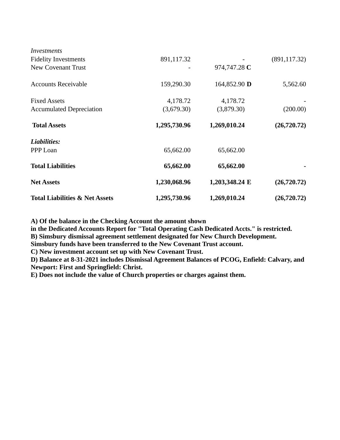| <b>Total Liabilities &amp; Net Assets</b> | 1,295,730.96 | 1,269,010.24   | (26, 720.72)  |
|-------------------------------------------|--------------|----------------|---------------|
| <b>Net Assets</b>                         | 1,230,068.96 | 1,203,348.24 E | (26, 720.72)  |
| <b>Total Liabilities</b>                  | 65,662.00    | 65,662.00      |               |
| Liabilities:<br>PPP Loan                  | 65,662.00    | 65,662.00      |               |
| <b>Total Assets</b>                       | 1,295,730.96 | 1,269,010.24   | (26, 720.72)  |
| <b>Accumulated Depreciation</b>           | (3,679.30)   | (3,879.30)     | (200.00)      |
| <b>Fixed Assets</b>                       | 4,178.72     | 4,178.72       |               |
| <b>Accounts Receivable</b>                | 159,290.30   | 164,852.90 D   | 5,562.60      |
| New Covenant Trust                        |              | 974,747.28 C   |               |
| <b>Fidelity Investments</b>               | 891,117.32   |                | (891, 117.32) |
| <b>Investments</b>                        |              |                |               |

**A) Of the balance in the Checking Account the amount shown** 

**in the Dedicated Accounts Report for "Total Operating Cash Dedicated Accts." is restricted.**

**B) Simsbury dismissal agreement settlement designated for New Church Development.**

**Simsbury funds have been transferred to the New Covenant Trust account.**

**C) New investment account set up with New Covenant Trust.**

**D) Balance at 8-31-2021 includes Dismissal Agreement Balances of PCOG, Enfield: Calvary, and Newport: First and Springfield: Christ.**

**E) Does not include the value of Church properties or charges against them.**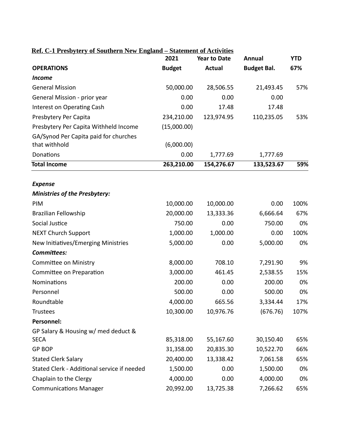| Ref. C-1 Presbytery of Southern New England - Statement of Activities |               |                     |                    |            |
|-----------------------------------------------------------------------|---------------|---------------------|--------------------|------------|
|                                                                       | 2021          | <b>Year to Date</b> | <b>Annual</b>      | <b>YTD</b> |
| <b>OPERATIONS</b>                                                     | <b>Budget</b> | <b>Actual</b>       | <b>Budget Bal.</b> | 67%        |
| <b>Income</b>                                                         |               |                     |                    |            |
| <b>General Mission</b>                                                | 50,000.00     | 28,506.55           | 21,493.45          | 57%        |
| General Mission - prior year                                          | 0.00          | 0.00                | 0.00               |            |
| Interest on Operating Cash                                            | 0.00          | 17.48               | 17.48              |            |
| Presbytery Per Capita                                                 | 234,210.00    | 123,974.95          | 110,235.05         | 53%        |
| Presbytery Per Capita Withheld Income                                 | (15,000.00)   |                     |                    |            |
| GA/Synod Per Capita paid for churches                                 |               |                     |                    |            |
| that withhold                                                         | (6,000.00)    |                     |                    |            |
| Donations                                                             | 0.00          | 1,777.69            | 1,777.69           |            |
| <b>Total Income</b>                                                   | 263,210.00    | 154,276.67          | 133,523.67         | 59%        |
| <b>Expense</b>                                                        |               |                     |                    |            |
| <b>Ministries of the Presbytery:</b>                                  |               |                     |                    |            |
| PIM                                                                   | 10,000.00     | 10,000.00           | 0.00               | 100%       |
| Brazilian Fellowship                                                  | 20,000.00     | 13,333.36           | 6,666.64           | 67%        |
| Social Justice                                                        | 750.00        | 0.00                | 750.00             | 0%         |
| <b>NEXT Church Support</b>                                            | 1,000.00      | 1,000.00            | 0.00               | 100%       |
| New Initiatives/Emerging Ministries                                   | 5,000.00      | 0.00                | 5,000.00           | 0%         |
| Committees:                                                           |               |                     |                    |            |
| <b>Committee on Ministry</b>                                          | 8,000.00      | 708.10              | 7,291.90           | 9%         |
| Committee on Preparation                                              | 3,000.00      | 461.45              | 2,538.55           | 15%        |
| <b>Nominations</b>                                                    | 200.00        | 0.00                | 200.00             | 0%         |
| Personnel                                                             | 500.00        | 0.00                | 500.00             | 0%         |
| Roundtable                                                            | 4,000.00      | 665.56              | 3,334.44           | 17%        |
| <b>Trustees</b>                                                       | 10,300.00     | 10,976.76           | (676.76)           | 107%       |
| Personnel:                                                            |               |                     |                    |            |
| GP Salary & Housing w/ med deduct &                                   |               |                     |                    |            |
| <b>SECA</b>                                                           | 85,318.00     | 55,167.60           | 30,150.40          | 65%        |
| <b>GP BOP</b>                                                         | 31,358.00     | 20,835.30           | 10,522.70          | 66%        |
| <b>Stated Clerk Salary</b>                                            | 20,400.00     | 13,338.42           | 7,061.58           | 65%        |
| Stated Clerk - Additional service if needed                           | 1,500.00      | 0.00                | 1,500.00           | 0%         |
| Chaplain to the Clergy                                                | 4,000.00      | 0.00                | 4,000.00           | 0%         |
| <b>Communications Manager</b>                                         | 20,992.00     | 13,725.38           | 7,266.62           | 65%        |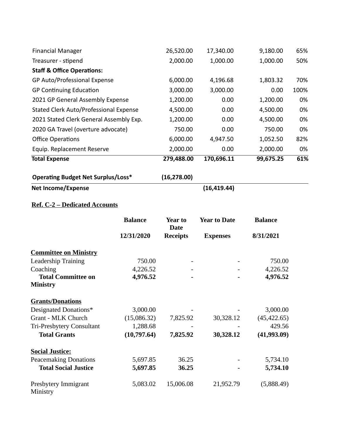| <b>Financial Manager</b>                      |                | 26,520.00                     | 17,340.00           | 9,180.00       | 65%  |
|-----------------------------------------------|----------------|-------------------------------|---------------------|----------------|------|
| Treasurer - stipend                           |                | 2,000.00                      | 1,000.00            | 1,000.00       | 50%  |
| <b>Staff &amp; Office Operations:</b>         |                |                               |                     |                |      |
| GP Auto/Professional Expense                  |                | 6,000.00                      | 4,196.68            | 1,803.32       | 70%  |
| <b>GP Continuing Education</b>                |                | 3,000.00                      | 3,000.00            | 0.00           | 100% |
| 2021 GP General Assembly Expense              |                | 1,200.00                      | 0.00                | 1,200.00       | 0%   |
| <b>Stated Clerk Auto/Professional Expense</b> |                | 4,500.00                      | 0.00                | 4,500.00       | 0%   |
| 2021 Stated Clerk General Assembly Exp.       |                | 1,200.00                      | 0.00                | 4,500.00       | 0%   |
| 2020 GA Travel (overture advocate)            |                | 750.00                        | 0.00                | 750.00         | 0%   |
| <b>Office Operations</b>                      |                | 6,000.00                      | 4,947.50            | 1,052.50       | 82%  |
| Equip. Replacement Reserve                    |                | 2,000.00                      | 0.00                | 2,000.00       | 0%   |
| <b>Total Expense</b>                          |                | 279,488.00                    | 170,696.11          | 99,675.25      | 61%  |
| <b>Operating Budget Net Surplus/Loss*</b>     |                | (16, 278.00)                  |                     |                |      |
| <b>Net Income/Expense</b>                     |                |                               | (16, 419.44)        |                |      |
| <b>Ref. C-2 - Dedicated Accounts</b>          |                |                               |                     |                |      |
|                                               | <b>Balance</b> | <b>Year to</b><br><b>Date</b> | <b>Year to Date</b> | <b>Balance</b> |      |
|                                               | 12/31/2020     | <b>Receipts</b>               | <b>Expenses</b>     | 8/31/2021      |      |
| <b>Committee on Ministry</b>                  |                |                               |                     |                |      |
| Leadership Training                           | 750.00         |                               |                     | 750.00         |      |

|                                  | <b>Balance</b> | Year to<br><b>Date</b> | <b>Year to Date</b> | <b>Balance</b> |
|----------------------------------|----------------|------------------------|---------------------|----------------|
|                                  | 12/31/2020     | <b>Receipts</b>        | <b>Expenses</b>     | 8/31/2021      |
| <b>Committee on Ministry</b>     |                |                        |                     |                |
| <b>Leadership Training</b>       | 750.00         |                        |                     | 750.00         |
| Coaching                         | 4,226.52       |                        |                     | 4,226.52       |
| <b>Total Committee on</b>        | 4,976.52       |                        |                     | 4,976.52       |
| <b>Ministry</b>                  |                |                        |                     |                |
| <b>Grants/Donations</b>          |                |                        |                     |                |
| Designated Donations*            | 3,000.00       |                        |                     | 3,000.00       |
| Grant - MLK Church               | (15,086.32)    | 7,825.92               | 30,328.12           | (45, 422.65)   |
| Tri-Presbytery Consultant        | 1,288.68       |                        |                     | 429.56         |
| <b>Total Grants</b>              | (10,797.64)    | 7,825.92               | 30,328.12           | (41,993.09)    |
| <b>Social Justice:</b>           |                |                        |                     |                |
| <b>Peacemaking Donations</b>     | 5,697.85       | 36.25                  |                     | 5,734.10       |
| <b>Total Social Justice</b>      | 5,697.85       | 36.25                  |                     | 5,734.10       |
| Presbytery Immigrant<br>Ministry | 5,083.02       | 15,006.08              | 21,952.79           | (5,888.49)     |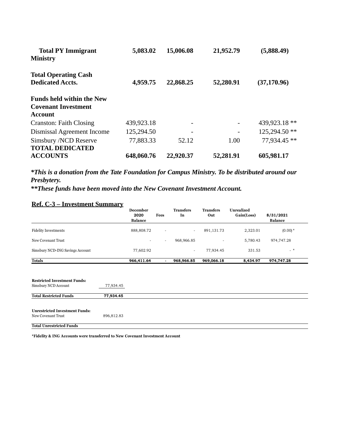| <b>Total PY Immigrant</b>        | 5,083.02   | 15,006.08 | 21,952.79      | (5,888.49)    |
|----------------------------------|------------|-----------|----------------|---------------|
| <b>Ministry</b>                  |            |           |                |               |
| <b>Total Operating Cash</b>      |            |           |                |               |
| <b>Dedicated Accts.</b>          | 4,959.75   | 22,868.25 | 52,280.91      | (37, 170.96)  |
| <b>Funds held within the New</b> |            |           |                |               |
| <b>Covenant Investment</b>       |            |           |                |               |
| <b>Account</b>                   |            |           |                |               |
| Cranston: Faith Closing          | 439,923.18 |           | $\overline{a}$ | 439,923.18 ** |
| Dismissal Agreement Income       | 125,294.50 | -         | -              | 125,294.50 ** |
| Simsbury /NCD Reserve            | 77,883.33  | 52.12     | 1.00           | 77,934.45 **  |
| <b>TOTAL DEDICATED</b>           |            |           |                |               |
| <b>ACCOUNTS</b>                  | 648,060.76 | 22,920.37 | 52,281.91      | 605,981.17    |

*\*This is a donation from the Tate Foundation for Campus Ministry. To be distributed around our Presbytery.*

*\*\*These funds have been moved into the New Covenant Investment Account.* 

|  | Ref. C-3 – Investment Summary |  |
|--|-------------------------------|--|
|  |                               |  |

|                                                             |            | December<br>2020<br><b>Balance</b> | Fees                     | <b>Transfers</b><br>In   | <b>Transfers</b><br>Out | Unrealized<br>Gain(Loss) | 8/31/2021<br><b>Balance</b> |
|-------------------------------------------------------------|------------|------------------------------------|--------------------------|--------------------------|-------------------------|--------------------------|-----------------------------|
| <b>Fidelity Investments</b>                                 |            | 888,808.72                         | $\overline{\phantom{a}}$ | $\overline{\phantom{a}}$ | 891,131.73              | 2,323.01                 | $(0.00)*$                   |
| New Covenant Trust                                          |            | $\overline{\phantom{a}}$           | $\overline{\phantom{a}}$ | 968,966.85               |                         | 5,780.43                 | 974,747.28                  |
| Simsbury NCD-ING Savings Account                            |            | 77,602.92                          |                          | $\overline{\phantom{a}}$ | 77,934.45               | 331.53                   | $-$ *                       |
| <b>Totals</b>                                               |            | 966,411.64                         |                          | 968,966.85               | 969,066.18              | 8,434.97                 | 974,747.28                  |
| <b>Restricted Investment Funds:</b><br>Simsbury NCD Account | 77,934.45  |                                    |                          |                          |                         |                          |                             |
| <b>Total Restricted Funds</b>                               | 77,934.45  |                                    |                          |                          |                         |                          |                             |
| <b>Unrestricted Investment Funds:</b><br>New Covenant Trust | 896,812.83 |                                    |                          |                          |                         |                          |                             |
| <b>Total Unrestricted Funds</b>                             |            |                                    |                          |                          |                         |                          |                             |

**\*Fidelity & ING Accounts were transferred to New Covenant Investment Account**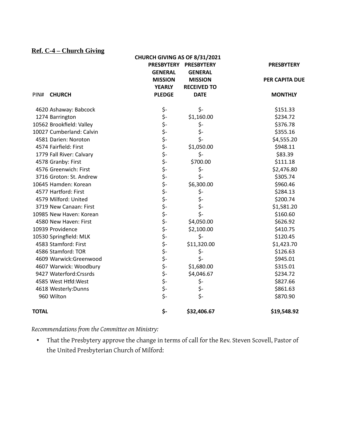# **Ref. C-4 – Church Giving**

|                          | CHURCH GIVING AS OF 8/31/2021 |                       |                       |
|--------------------------|-------------------------------|-----------------------|-----------------------|
|                          |                               | PRESBYTERY PRESBYTERY | <b>PRESBYTERY</b>     |
|                          | <b>GENERAL</b>                | <b>GENERAL</b>        |                       |
|                          | <b>MISSION</b>                | <b>MISSION</b>        | <b>PER CAPITA DUE</b> |
|                          | <b>YEARLY</b>                 | <b>RECEIVED TO</b>    |                       |
| <b>CHURCH</b><br>PIN#    | <b>PLEDGE</b>                 | <b>DATE</b>           | <b>MONTHLY</b>        |
| 4620 Ashaway: Babcock    |                               | \$-                   | \$151.33              |
| 1274 Barrington          |                               | \$1,160.00            | \$234.72              |
| 10562 Brookfield: Valley |                               | \$-                   | \$376.78              |
| 10027 Cumberland: Calvin |                               | \$-                   | \$355.16              |
| 4581 Darien: Noroton     |                               | \$-                   | \$4,555.20            |
| 4574 Fairfield: First    |                               | \$1,050.00            | \$948.11              |
| 1779 Fall River: Calvary |                               | \$-                   | \$83.39               |
| 4578 Granby: First       |                               | \$700.00              | \$111.18              |
| 4576 Greenwich: First    |                               | \$-                   | \$2,476.80            |
| 3716 Groton: St. Andrew  |                               | \$-                   | \$305.74              |
| 10645 Hamden: Korean     |                               | \$6,300.00            | \$960.46              |
| 4577 Hartford: First     |                               | \$-                   | \$284.13              |
| 4579 Milford: United     |                               |                       | \$200.74              |
| 3719 New Canaan: First   |                               | \$-<br>\$-            | \$1,581.20            |
| 10985 New Haven: Korean  |                               | \$-                   | \$160.60              |
| 4580 New Haven: First    |                               | \$4,050.00            | \$626.92              |
| 10939 Providence         |                               | \$2,100.00            | \$410.75              |
| 10530 Springfield: MLK   |                               | \$-                   | \$120.45              |
| 4583 Stamford: First     |                               | \$11,320.00           | \$1,423.70            |
| 4586 Stamford: TOR       |                               | \$-                   | \$126.63              |
| 4609 Warwick:Greenwood   |                               | $\zeta$ -             | \$945.01              |
| 4607 Warwick: Woodbury   |                               | \$1,680.00            | \$315.01              |
| 9427 Waterford: Crssrds  |                               | \$4,046.67            | \$234.72              |
| 4585 West Htfd:West      |                               | \$-                   | \$827.66              |
| 4618 Westerly: Dunns     | ぐうさかいきょうかいきょうかい きょうかい         | \$-                   | \$861.63              |
| 960 Wilton               |                               | \$-                   | \$870.90              |
| <b>TOTAL</b>             | \$-                           | \$32,406.67           | \$19,548.92           |

*Recommendations from the Committee on Ministry:*

• That the Presbytery approve the change in terms of call for the Rev. Steven Scovell, Pastor of the United Presbyterian Church of Milford: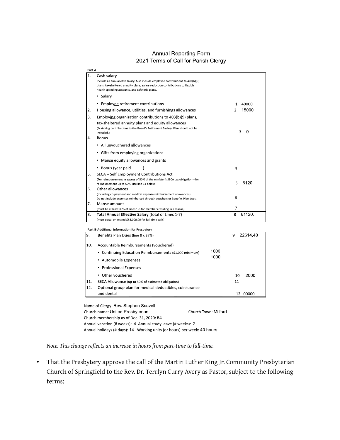#### **Annual Reporting Form** 2021 Terms of Call for Parish Clergy

| Part A         |                                                                                                                                                                                                                                     |                         |
|----------------|-------------------------------------------------------------------------------------------------------------------------------------------------------------------------------------------------------------------------------------|-------------------------|
| $\mathbf{1}$ . | Cash salary<br>Include all annual cash salary. Also include employee contributions to 403(b)(9)<br>plans, tax-sheltered annuity plans, salary reduction contributions to flexible<br>health spending accounts, and cafeteria plans. |                         |
|                | • Salary                                                                                                                                                                                                                            |                         |
|                | • Employee retirement contributions                                                                                                                                                                                                 | 40000<br>1              |
| 2.             | Housing allowance, utilities, and furnishings allowances                                                                                                                                                                            | 15000<br>$\overline{2}$ |
| 3.             | Employing organization contributions to 403(b)(9) plans,<br>tax-sheltered annuity plans and equity allowances<br>(Matching contributions to the Board's Retirement Savings Plan should not be<br>included.)                         | 3<br>0                  |
| 4.             | <b>Bonus</b>                                                                                                                                                                                                                        |                         |
|                | • All unvouchered allowances                                                                                                                                                                                                        |                         |
|                | • Gifts from employing organizations                                                                                                                                                                                                |                         |
|                | Manse equity allowances and grants<br>٠                                                                                                                                                                                             |                         |
|                | • Bonus (year paid                                                                                                                                                                                                                  | $\overline{4}$          |
| 5.             | SECA - Self Employment Contributions Act<br>(For reimbursement in excess of 50% of the minister's SECA tax obligation-for<br>reimbursement up to 50%, use line 11 below.)                                                           | 6120<br>5               |
| 6.             | Other allowances<br>(including co-payment and medical expense reimbursement allowances)<br>Do not include expenses reimbursed through vouchers or Benefits Plan dues.                                                               | 6                       |
| 7.             | Manse amount                                                                                                                                                                                                                        |                         |
|                | (must be at least 30% of Lines 1-6 for members residing in a manse)                                                                                                                                                                 | 7                       |
| 8.             | Total Annual Effective Salary (total of Lines 1-7)                                                                                                                                                                                  | 61120.<br>8             |
|                | (must equal or exceed \$58,000.00 for full-time calls)                                                                                                                                                                              |                         |

| 19. | Benefits Plan Dues (line 8 x 37%)                        |      | 22614.40<br>9 |
|-----|----------------------------------------------------------|------|---------------|
| 10. | Accountable Reimbursements (vouchered)                   |      |               |
|     | • Continuing Education Reimbursements (\$1,000 minimum)  | 1000 |               |
|     | • Automobile Expenses                                    | 1000 |               |
|     | • Professional Expenses                                  |      |               |
|     | • Other vouchered                                        |      | 2000<br>10    |
| 11. | SECA Allowance (up to 50% of estimated obligation)       |      | 11            |
| 12. | Optional group plan for medical deductibles, coinsurance |      |               |
|     | and dental                                               |      | 00000<br>12   |

Name of Clergy: Rev. Stephen Scovell Church Town: Milford Church name: United Presbyterian Church membership as of Dec. 31, 2020: 54 Annual vacation (# weeks): 4 Annual study leave (# weeks): 2 Annual holidays (# days): 14 Working units (or hours) per week: 40 hours

*Note: This change reflects an increase in hours from part-time to full-time.*

• That the Presbytery approve the call of the Martin Luther King Jr. Community Presbyterian Church of Springfield to the Rev. Dr. Terrlyn Curry Avery as Pastor, subject to the following terms: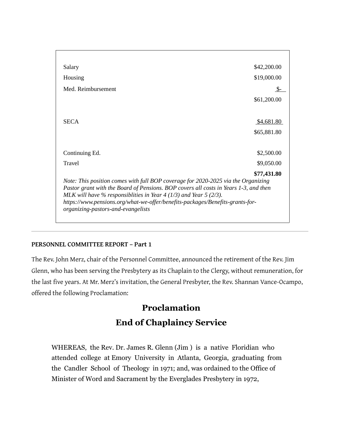| \$42,200.00<br>Salary                                                                                                                                                                                                                          |       |
|------------------------------------------------------------------------------------------------------------------------------------------------------------------------------------------------------------------------------------------------|-------|
| \$19,000.00<br>Housing                                                                                                                                                                                                                         |       |
| Med. Reimbursement                                                                                                                                                                                                                             | - SS- |
| \$61,200.00                                                                                                                                                                                                                                    |       |
|                                                                                                                                                                                                                                                |       |
| <b>SECA</b><br>\$4,681.80                                                                                                                                                                                                                      |       |
| \$65,881.80                                                                                                                                                                                                                                    |       |
|                                                                                                                                                                                                                                                |       |
| \$2,500.00<br>Continuing Ed.                                                                                                                                                                                                                   |       |
| \$9,050.00<br><b>Travel</b>                                                                                                                                                                                                                    |       |
| \$77,431.80                                                                                                                                                                                                                                    |       |
| Note: This position comes with full BOP coverage for 2020-2025 via the Organizing<br>Pastor grant with the Board of Pensions. BOP covers all costs in Years 1-3, and then<br>MLK will have % responsiblities in Year 4 (1/3) and Year 5 (2/3). |       |
| https://www.pensions.org/what-we-offer/benefits-packages/Benefits-grants-for-<br>organizing-pastors-and-evangelists                                                                                                                            |       |

#### **PERSONNEL COMMITTEE REPORT – Part 1**

The Rev. John Merz, chair of the Personnel Committee, announced the retirement of the Rev. Jim Glenn, who has been serving the Presbytery as its Chaplain to the Clergy, without remuneration, for the last five years. At Mr. Merz's invitation, the General Presbyter, the Rev. Shannan Vance-Ocampo, offered the following Proclamation:

# **Proclamation End of Chaplaincy Service**

WHEREAS, the Rev. Dr. James R. Glenn (Jim ) is a native Floridian who attended college at Emory University in Atlanta, Georgia, graduating from the Candler School of Theology in 1971; and, was ordained to the Office of Minister of Word and Sacrament by the Everglades Presbytery in 1972,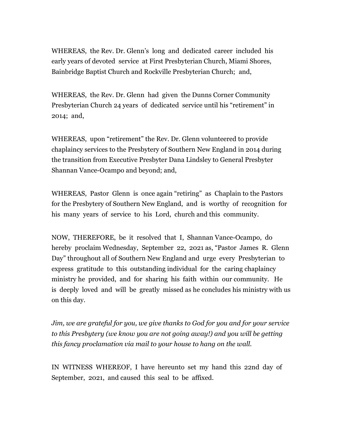WHEREAS, the Rev. Dr. Glenn's long and dedicated career included his early years of devoted service at First Presbyterian Church, Miami Shores, Bainbridge Baptist Church and Rockville Presbyterian Church; and,

WHEREAS, the Rev. Dr. Glenn had given the Dunns Corner Community Presbyterian Church 24 years of dedicated service until his "retirement" in 2014; and,

WHEREAS, upon "retirement" the Rev. Dr. Glenn volunteered to provide chaplaincy services to the Presbytery of Southern New England in 2014 during the transition from Executive Presbyter Dana Lindsley to General Presbyter Shannan Vance-Ocampo and beyond; and,

WHEREAS, Pastor Glenn is once again "retiring" as Chaplain to the Pastors for the Presbytery of Southern New England, and is worthy of recognition for his many years of service to his Lord, church and this community.

NOW, THEREFORE, be it resolved that I, Shannan Vance-Ocampo, do hereby proclaim Wednesday, September 22, 2021 as, "Pastor James R. Glenn Day" throughout all of Southern New England and urge every Presbyterian to express gratitude to this outstanding individual for the caring chaplaincy ministry he provided, and for sharing his faith within our community. He is deeply loved and will be greatly missed as he concludes his ministry with us on this day.

*Jim, we are grateful for you, we give thanks to God for you and for your service to this Presbytery (we know you are not going away!) and you will be getting this fancy proclamation via mail to your house to hang on the wall.*

IN WITNESS WHEREOF, I have hereunto set my hand this 22nd day of September, 2021, and caused this seal to be affixed.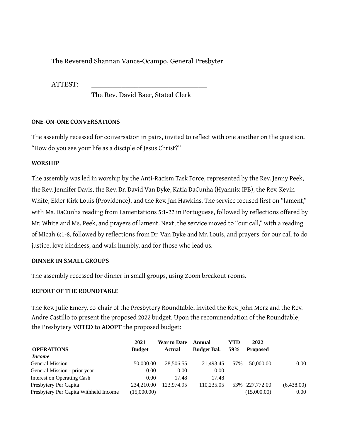# The Reverend Shannan Vance-Ocampo, General Presbyter

\_\_\_\_\_\_\_\_\_\_\_\_\_\_\_\_\_\_\_\_\_\_\_\_\_\_

ATTEST: \_\_\_\_\_\_\_\_\_\_\_\_\_\_\_\_\_\_\_\_\_\_\_\_\_\_\_

The Rev. David Baer, Stated Clerk

### **ONE-ON-ONE CONVERSATIONS**

The assembly recessed for conversation in pairs, invited to reflect with one another on the question, "How do you see your life as a disciple of Jesus Christ?"

### **WORSHIP**

The assembly was led in worship by the Anti-Racism Task Force, represented by the Rev. Jenny Peek, the Rev. Jennifer Davis, the Rev. Dr. David Van Dyke, Katia DaCunha (Hyannis: IPB), the Rev. Kevin White, Elder Kirk Louis (Providence), and the Rev. Jan Hawkins. The service focused first on "lament," with Ms. DaCunha reading from Lamentations 5:1-22 in Portuguese, followed by reflections offered by Mr. White and Ms. Peek, and prayers of lament. Next, the service moved to "our call," with a reading of Micah 6:1-8, followed by reflections from Dr. Van Dyke and Mr. Louis, and prayers for our call to do justice, love kindness, and walk humbly, and for those who lead us.

#### **DINNER IN SMALL GROUPS**

The assembly recessed for dinner in small groups, using Zoom breakout rooms.

# **REPORT OF THE ROUNDTABLE**

The Rev. Julie Emery, co-chair of the Presbytery Roundtable, invited the Rev. John Merz and the Rev. Andre Castillo to present the proposed 2022 budget. Upon the recommendation of the Roundtable, the Presbytery **VOTED** to **ADOPT** the proposed budget:

|                                       | 2021          | <b>Year to Date</b> | Annual             | YTD | 2022            |            |
|---------------------------------------|---------------|---------------------|--------------------|-----|-----------------|------------|
| <b>OPERATIONS</b>                     | <b>Budget</b> | Actual              | <b>Budget Bal.</b> | 59% | <b>Proposed</b> |            |
| <i>Income</i>                         |               |                     |                    |     |                 |            |
| <b>General Mission</b>                | 50,000.00     | 28,506.55           | 21.493.45          | 57% | 50.000.00       | 0.00       |
| General Mission - prior year          | 0.00          | 0.00                | 0.00               |     |                 |            |
| Interest on Operating Cash            | 0.00          | 17.48               | 17.48              |     |                 |            |
| Presbytery Per Capita                 | 234.210.00    | 123.974.95          | 110,235.05         |     | 53% 227,772.00  | (6,438.00) |
| Presbytery Per Capita Withheld Income | (15,000.00)   |                     |                    |     | (15,000.00)     | 0.00       |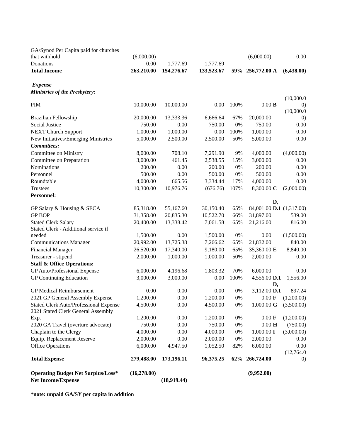| Donations<br>0.00<br>1,777.69<br>1,777.69<br><b>Total Income</b><br>263,210.00<br>154,276.67<br>133,523.67<br>256,772.00 A<br>(6,438.00)<br>59%<br><b>Expense</b><br><b>Ministries of the Presbytery:</b><br>(10,000.0)<br>100%<br>$0.00$ $\bf B$<br><b>PIM</b><br>10,000.00<br>10,000.00<br>0.00<br>$\left( 0\right)$<br>(10,000.0)<br>20,000.00<br>20,000.00<br>13,333.36<br>6,666.64<br>67%<br>Brazilian Fellowship<br>$\left( 0\right)$<br>$0\%$<br>Social Justice<br>750.00<br>750.00<br>750.00<br>0.00<br>0.00<br><b>NEXT Church Support</b><br>1,000.00<br>0.00<br>100%<br>1,000.00<br>0.00<br>1,000.00<br>New Initiatives/Emerging Ministries<br>50%<br>5,000.00<br>0.00<br>5,000.00<br>2,500.00<br>2,500.00<br><b>Committees:</b><br>708.10<br>9%<br>(4,000.00)<br>Committee on Ministry<br>8,000.00<br>7,291.90<br>4,000.00<br>3,000.00<br>461.45<br>2,538.55<br>15%<br>3,000.00<br>Committee on Preparation<br>0.00<br>200.00<br>0.00<br>200.00<br>$0\%$<br>200.00<br>0.00<br>Nominations<br>Personnel<br>500.00<br>0.00<br>500.00<br>$0\%$<br>500.00<br>0.00<br>Roundtable<br>4,000.00<br>665.56<br>17%<br>4,000.00<br>0.00<br>3,334.44<br>107%<br>(2,000.00)<br><b>Trustees</b><br>10,300.00<br>10,976.76<br>(676.76)<br>8,300.00 C<br><b>Personnel:</b><br>D,<br>84,001.00 D.1 (1,317.00)<br>GP Salary & Housing & SECA<br>85,318.00<br>55,167.60<br>30,150.40<br>65%<br><b>GP BOP</b><br>66%<br>31,358.00<br>10,522.70<br>31,897.00<br>539.00<br>20,835.30<br><b>Stated Clerk Salary</b><br>20,400.00<br>7,061.58<br>65%<br>816.00<br>13,338.42<br>21,216.00<br>Stated Clerk - Additional service if<br>$0\%$<br>needed<br>0.00<br>1,500.00<br>0.00<br>(1,500.00)<br>1,500.00<br>65%<br>20,992.00<br>13,725.38<br>7,266.62<br>21,832.00<br>840.00<br><b>Communications Manager</b><br>65%<br>26,520.00<br>17,340.00<br>9,180.00<br>35,360.00 E<br>8,840.00<br><b>Financial Manager</b><br>Treasurer - stipend<br>2,000.00<br>50%<br>1,000.00<br>1,000.00<br>2,000.00<br>0.00<br><b>Staff &amp; Office Operations:</b><br>GP Auto/Professional Expense<br>6,000.00<br>4,196.68<br>1,803.32<br>70%<br>6,000.00<br>0.00<br><b>GP Continuing Education</b><br>3,000.00<br>3,000.00<br>0.00<br>100%<br>4,556.00 D.1<br>1,556.00<br>D,<br><b>GP Medical Reimbursement</b><br>0.00<br>0.00<br>0.00<br>$0\%$<br>3,112.00 D.1<br>897.24<br>1,200.00<br>0.00<br>2021 GP General Assembly Expense<br>1,200.00<br>$0\%$<br>$0.00 \text{ F}$ (1,200.00)<br>Stated Clerk Auto/Professional Expense<br>0.00<br>$0\%$<br>1,000.00 G<br>(3,500.00)<br>4,500.00<br>4,500.00<br>2021 Stated Clerk General Assembly<br>1,200.00<br>0.00<br>1,200.00<br>$0\%$<br>$0.00 \text{ F}$<br>(1,200.00)<br>Exp.<br>2020 GA Travel (overture advocate)<br>0.00<br>$0\%$<br>$0.00\ \mathbf{H}$<br>(750.00)<br>750.00<br>750.00<br>Chaplain to the Clergy<br>0.00<br>$0\%$<br>1,000.00 I<br>(3,000.00)<br>4,000.00<br>4,000.00<br>Equip. Replacement Reserve<br>2,000.00<br>0.00<br>$0\%$<br>2,000.00<br>2,000.00<br>0.00<br><b>Office Operations</b><br>6,000.00<br>82%<br>6,000.00<br>0.00<br>4,947.50<br>1,052.50<br>(12,764.0)<br><b>Total Expense</b><br>279,488.00<br>173,196.11<br>96,375.25<br>266,724.00<br>62%<br>$\left( 0\right)$<br>(16, 278.00)<br><b>Operating Budget Net Surplus/Loss*</b><br>(9,952.00)<br><b>Net Income/Expense</b><br>(18,919.44) | GA/Synod Per Capita paid for churches |            |  |            |      |
|-----------------------------------------------------------------------------------------------------------------------------------------------------------------------------------------------------------------------------------------------------------------------------------------------------------------------------------------------------------------------------------------------------------------------------------------------------------------------------------------------------------------------------------------------------------------------------------------------------------------------------------------------------------------------------------------------------------------------------------------------------------------------------------------------------------------------------------------------------------------------------------------------------------------------------------------------------------------------------------------------------------------------------------------------------------------------------------------------------------------------------------------------------------------------------------------------------------------------------------------------------------------------------------------------------------------------------------------------------------------------------------------------------------------------------------------------------------------------------------------------------------------------------------------------------------------------------------------------------------------------------------------------------------------------------------------------------------------------------------------------------------------------------------------------------------------------------------------------------------------------------------------------------------------------------------------------------------------------------------------------------------------------------------------------------------------------------------------------------------------------------------------------------------------------------------------------------------------------------------------------------------------------------------------------------------------------------------------------------------------------------------------------------------------------------------------------------------------------------------------------------------------------------------------------------------------------------------------------------------------------------------------------------------------------------------------------------------------------------------------------------------------------------------------------------------------------------------------------------------------------------------------------------------------------------------------------------------------------------------------------------------------------------------------------------------------------------------------------------------------------------------------------------------------------------------------------------------------------------------------------------------------------------------------------------------------------------------------------------|---------------------------------------|------------|--|------------|------|
|                                                                                                                                                                                                                                                                                                                                                                                                                                                                                                                                                                                                                                                                                                                                                                                                                                                                                                                                                                                                                                                                                                                                                                                                                                                                                                                                                                                                                                                                                                                                                                                                                                                                                                                                                                                                                                                                                                                                                                                                                                                                                                                                                                                                                                                                                                                                                                                                                                                                                                                                                                                                                                                                                                                                                                                                                                                                                                                                                                                                                                                                                                                                                                                                                                                                                                                                                     | that withhold                         | (6,000.00) |  | (6,000.00) | 0.00 |
|                                                                                                                                                                                                                                                                                                                                                                                                                                                                                                                                                                                                                                                                                                                                                                                                                                                                                                                                                                                                                                                                                                                                                                                                                                                                                                                                                                                                                                                                                                                                                                                                                                                                                                                                                                                                                                                                                                                                                                                                                                                                                                                                                                                                                                                                                                                                                                                                                                                                                                                                                                                                                                                                                                                                                                                                                                                                                                                                                                                                                                                                                                                                                                                                                                                                                                                                                     |                                       |            |  |            |      |
|                                                                                                                                                                                                                                                                                                                                                                                                                                                                                                                                                                                                                                                                                                                                                                                                                                                                                                                                                                                                                                                                                                                                                                                                                                                                                                                                                                                                                                                                                                                                                                                                                                                                                                                                                                                                                                                                                                                                                                                                                                                                                                                                                                                                                                                                                                                                                                                                                                                                                                                                                                                                                                                                                                                                                                                                                                                                                                                                                                                                                                                                                                                                                                                                                                                                                                                                                     |                                       |            |  |            |      |
|                                                                                                                                                                                                                                                                                                                                                                                                                                                                                                                                                                                                                                                                                                                                                                                                                                                                                                                                                                                                                                                                                                                                                                                                                                                                                                                                                                                                                                                                                                                                                                                                                                                                                                                                                                                                                                                                                                                                                                                                                                                                                                                                                                                                                                                                                                                                                                                                                                                                                                                                                                                                                                                                                                                                                                                                                                                                                                                                                                                                                                                                                                                                                                                                                                                                                                                                                     |                                       |            |  |            |      |
|                                                                                                                                                                                                                                                                                                                                                                                                                                                                                                                                                                                                                                                                                                                                                                                                                                                                                                                                                                                                                                                                                                                                                                                                                                                                                                                                                                                                                                                                                                                                                                                                                                                                                                                                                                                                                                                                                                                                                                                                                                                                                                                                                                                                                                                                                                                                                                                                                                                                                                                                                                                                                                                                                                                                                                                                                                                                                                                                                                                                                                                                                                                                                                                                                                                                                                                                                     |                                       |            |  |            |      |
|                                                                                                                                                                                                                                                                                                                                                                                                                                                                                                                                                                                                                                                                                                                                                                                                                                                                                                                                                                                                                                                                                                                                                                                                                                                                                                                                                                                                                                                                                                                                                                                                                                                                                                                                                                                                                                                                                                                                                                                                                                                                                                                                                                                                                                                                                                                                                                                                                                                                                                                                                                                                                                                                                                                                                                                                                                                                                                                                                                                                                                                                                                                                                                                                                                                                                                                                                     |                                       |            |  |            |      |
|                                                                                                                                                                                                                                                                                                                                                                                                                                                                                                                                                                                                                                                                                                                                                                                                                                                                                                                                                                                                                                                                                                                                                                                                                                                                                                                                                                                                                                                                                                                                                                                                                                                                                                                                                                                                                                                                                                                                                                                                                                                                                                                                                                                                                                                                                                                                                                                                                                                                                                                                                                                                                                                                                                                                                                                                                                                                                                                                                                                                                                                                                                                                                                                                                                                                                                                                                     |                                       |            |  |            |      |
|                                                                                                                                                                                                                                                                                                                                                                                                                                                                                                                                                                                                                                                                                                                                                                                                                                                                                                                                                                                                                                                                                                                                                                                                                                                                                                                                                                                                                                                                                                                                                                                                                                                                                                                                                                                                                                                                                                                                                                                                                                                                                                                                                                                                                                                                                                                                                                                                                                                                                                                                                                                                                                                                                                                                                                                                                                                                                                                                                                                                                                                                                                                                                                                                                                                                                                                                                     |                                       |            |  |            |      |
|                                                                                                                                                                                                                                                                                                                                                                                                                                                                                                                                                                                                                                                                                                                                                                                                                                                                                                                                                                                                                                                                                                                                                                                                                                                                                                                                                                                                                                                                                                                                                                                                                                                                                                                                                                                                                                                                                                                                                                                                                                                                                                                                                                                                                                                                                                                                                                                                                                                                                                                                                                                                                                                                                                                                                                                                                                                                                                                                                                                                                                                                                                                                                                                                                                                                                                                                                     |                                       |            |  |            |      |
|                                                                                                                                                                                                                                                                                                                                                                                                                                                                                                                                                                                                                                                                                                                                                                                                                                                                                                                                                                                                                                                                                                                                                                                                                                                                                                                                                                                                                                                                                                                                                                                                                                                                                                                                                                                                                                                                                                                                                                                                                                                                                                                                                                                                                                                                                                                                                                                                                                                                                                                                                                                                                                                                                                                                                                                                                                                                                                                                                                                                                                                                                                                                                                                                                                                                                                                                                     |                                       |            |  |            |      |
|                                                                                                                                                                                                                                                                                                                                                                                                                                                                                                                                                                                                                                                                                                                                                                                                                                                                                                                                                                                                                                                                                                                                                                                                                                                                                                                                                                                                                                                                                                                                                                                                                                                                                                                                                                                                                                                                                                                                                                                                                                                                                                                                                                                                                                                                                                                                                                                                                                                                                                                                                                                                                                                                                                                                                                                                                                                                                                                                                                                                                                                                                                                                                                                                                                                                                                                                                     |                                       |            |  |            |      |
|                                                                                                                                                                                                                                                                                                                                                                                                                                                                                                                                                                                                                                                                                                                                                                                                                                                                                                                                                                                                                                                                                                                                                                                                                                                                                                                                                                                                                                                                                                                                                                                                                                                                                                                                                                                                                                                                                                                                                                                                                                                                                                                                                                                                                                                                                                                                                                                                                                                                                                                                                                                                                                                                                                                                                                                                                                                                                                                                                                                                                                                                                                                                                                                                                                                                                                                                                     |                                       |            |  |            |      |
|                                                                                                                                                                                                                                                                                                                                                                                                                                                                                                                                                                                                                                                                                                                                                                                                                                                                                                                                                                                                                                                                                                                                                                                                                                                                                                                                                                                                                                                                                                                                                                                                                                                                                                                                                                                                                                                                                                                                                                                                                                                                                                                                                                                                                                                                                                                                                                                                                                                                                                                                                                                                                                                                                                                                                                                                                                                                                                                                                                                                                                                                                                                                                                                                                                                                                                                                                     |                                       |            |  |            |      |
|                                                                                                                                                                                                                                                                                                                                                                                                                                                                                                                                                                                                                                                                                                                                                                                                                                                                                                                                                                                                                                                                                                                                                                                                                                                                                                                                                                                                                                                                                                                                                                                                                                                                                                                                                                                                                                                                                                                                                                                                                                                                                                                                                                                                                                                                                                                                                                                                                                                                                                                                                                                                                                                                                                                                                                                                                                                                                                                                                                                                                                                                                                                                                                                                                                                                                                                                                     |                                       |            |  |            |      |
|                                                                                                                                                                                                                                                                                                                                                                                                                                                                                                                                                                                                                                                                                                                                                                                                                                                                                                                                                                                                                                                                                                                                                                                                                                                                                                                                                                                                                                                                                                                                                                                                                                                                                                                                                                                                                                                                                                                                                                                                                                                                                                                                                                                                                                                                                                                                                                                                                                                                                                                                                                                                                                                                                                                                                                                                                                                                                                                                                                                                                                                                                                                                                                                                                                                                                                                                                     |                                       |            |  |            |      |
|                                                                                                                                                                                                                                                                                                                                                                                                                                                                                                                                                                                                                                                                                                                                                                                                                                                                                                                                                                                                                                                                                                                                                                                                                                                                                                                                                                                                                                                                                                                                                                                                                                                                                                                                                                                                                                                                                                                                                                                                                                                                                                                                                                                                                                                                                                                                                                                                                                                                                                                                                                                                                                                                                                                                                                                                                                                                                                                                                                                                                                                                                                                                                                                                                                                                                                                                                     |                                       |            |  |            |      |
|                                                                                                                                                                                                                                                                                                                                                                                                                                                                                                                                                                                                                                                                                                                                                                                                                                                                                                                                                                                                                                                                                                                                                                                                                                                                                                                                                                                                                                                                                                                                                                                                                                                                                                                                                                                                                                                                                                                                                                                                                                                                                                                                                                                                                                                                                                                                                                                                                                                                                                                                                                                                                                                                                                                                                                                                                                                                                                                                                                                                                                                                                                                                                                                                                                                                                                                                                     |                                       |            |  |            |      |
|                                                                                                                                                                                                                                                                                                                                                                                                                                                                                                                                                                                                                                                                                                                                                                                                                                                                                                                                                                                                                                                                                                                                                                                                                                                                                                                                                                                                                                                                                                                                                                                                                                                                                                                                                                                                                                                                                                                                                                                                                                                                                                                                                                                                                                                                                                                                                                                                                                                                                                                                                                                                                                                                                                                                                                                                                                                                                                                                                                                                                                                                                                                                                                                                                                                                                                                                                     |                                       |            |  |            |      |
|                                                                                                                                                                                                                                                                                                                                                                                                                                                                                                                                                                                                                                                                                                                                                                                                                                                                                                                                                                                                                                                                                                                                                                                                                                                                                                                                                                                                                                                                                                                                                                                                                                                                                                                                                                                                                                                                                                                                                                                                                                                                                                                                                                                                                                                                                                                                                                                                                                                                                                                                                                                                                                                                                                                                                                                                                                                                                                                                                                                                                                                                                                                                                                                                                                                                                                                                                     |                                       |            |  |            |      |
|                                                                                                                                                                                                                                                                                                                                                                                                                                                                                                                                                                                                                                                                                                                                                                                                                                                                                                                                                                                                                                                                                                                                                                                                                                                                                                                                                                                                                                                                                                                                                                                                                                                                                                                                                                                                                                                                                                                                                                                                                                                                                                                                                                                                                                                                                                                                                                                                                                                                                                                                                                                                                                                                                                                                                                                                                                                                                                                                                                                                                                                                                                                                                                                                                                                                                                                                                     |                                       |            |  |            |      |
|                                                                                                                                                                                                                                                                                                                                                                                                                                                                                                                                                                                                                                                                                                                                                                                                                                                                                                                                                                                                                                                                                                                                                                                                                                                                                                                                                                                                                                                                                                                                                                                                                                                                                                                                                                                                                                                                                                                                                                                                                                                                                                                                                                                                                                                                                                                                                                                                                                                                                                                                                                                                                                                                                                                                                                                                                                                                                                                                                                                                                                                                                                                                                                                                                                                                                                                                                     |                                       |            |  |            |      |
|                                                                                                                                                                                                                                                                                                                                                                                                                                                                                                                                                                                                                                                                                                                                                                                                                                                                                                                                                                                                                                                                                                                                                                                                                                                                                                                                                                                                                                                                                                                                                                                                                                                                                                                                                                                                                                                                                                                                                                                                                                                                                                                                                                                                                                                                                                                                                                                                                                                                                                                                                                                                                                                                                                                                                                                                                                                                                                                                                                                                                                                                                                                                                                                                                                                                                                                                                     |                                       |            |  |            |      |
|                                                                                                                                                                                                                                                                                                                                                                                                                                                                                                                                                                                                                                                                                                                                                                                                                                                                                                                                                                                                                                                                                                                                                                                                                                                                                                                                                                                                                                                                                                                                                                                                                                                                                                                                                                                                                                                                                                                                                                                                                                                                                                                                                                                                                                                                                                                                                                                                                                                                                                                                                                                                                                                                                                                                                                                                                                                                                                                                                                                                                                                                                                                                                                                                                                                                                                                                                     |                                       |            |  |            |      |
|                                                                                                                                                                                                                                                                                                                                                                                                                                                                                                                                                                                                                                                                                                                                                                                                                                                                                                                                                                                                                                                                                                                                                                                                                                                                                                                                                                                                                                                                                                                                                                                                                                                                                                                                                                                                                                                                                                                                                                                                                                                                                                                                                                                                                                                                                                                                                                                                                                                                                                                                                                                                                                                                                                                                                                                                                                                                                                                                                                                                                                                                                                                                                                                                                                                                                                                                                     |                                       |            |  |            |      |
|                                                                                                                                                                                                                                                                                                                                                                                                                                                                                                                                                                                                                                                                                                                                                                                                                                                                                                                                                                                                                                                                                                                                                                                                                                                                                                                                                                                                                                                                                                                                                                                                                                                                                                                                                                                                                                                                                                                                                                                                                                                                                                                                                                                                                                                                                                                                                                                                                                                                                                                                                                                                                                                                                                                                                                                                                                                                                                                                                                                                                                                                                                                                                                                                                                                                                                                                                     |                                       |            |  |            |      |
|                                                                                                                                                                                                                                                                                                                                                                                                                                                                                                                                                                                                                                                                                                                                                                                                                                                                                                                                                                                                                                                                                                                                                                                                                                                                                                                                                                                                                                                                                                                                                                                                                                                                                                                                                                                                                                                                                                                                                                                                                                                                                                                                                                                                                                                                                                                                                                                                                                                                                                                                                                                                                                                                                                                                                                                                                                                                                                                                                                                                                                                                                                                                                                                                                                                                                                                                                     |                                       |            |  |            |      |
|                                                                                                                                                                                                                                                                                                                                                                                                                                                                                                                                                                                                                                                                                                                                                                                                                                                                                                                                                                                                                                                                                                                                                                                                                                                                                                                                                                                                                                                                                                                                                                                                                                                                                                                                                                                                                                                                                                                                                                                                                                                                                                                                                                                                                                                                                                                                                                                                                                                                                                                                                                                                                                                                                                                                                                                                                                                                                                                                                                                                                                                                                                                                                                                                                                                                                                                                                     |                                       |            |  |            |      |
|                                                                                                                                                                                                                                                                                                                                                                                                                                                                                                                                                                                                                                                                                                                                                                                                                                                                                                                                                                                                                                                                                                                                                                                                                                                                                                                                                                                                                                                                                                                                                                                                                                                                                                                                                                                                                                                                                                                                                                                                                                                                                                                                                                                                                                                                                                                                                                                                                                                                                                                                                                                                                                                                                                                                                                                                                                                                                                                                                                                                                                                                                                                                                                                                                                                                                                                                                     |                                       |            |  |            |      |
|                                                                                                                                                                                                                                                                                                                                                                                                                                                                                                                                                                                                                                                                                                                                                                                                                                                                                                                                                                                                                                                                                                                                                                                                                                                                                                                                                                                                                                                                                                                                                                                                                                                                                                                                                                                                                                                                                                                                                                                                                                                                                                                                                                                                                                                                                                                                                                                                                                                                                                                                                                                                                                                                                                                                                                                                                                                                                                                                                                                                                                                                                                                                                                                                                                                                                                                                                     |                                       |            |  |            |      |
|                                                                                                                                                                                                                                                                                                                                                                                                                                                                                                                                                                                                                                                                                                                                                                                                                                                                                                                                                                                                                                                                                                                                                                                                                                                                                                                                                                                                                                                                                                                                                                                                                                                                                                                                                                                                                                                                                                                                                                                                                                                                                                                                                                                                                                                                                                                                                                                                                                                                                                                                                                                                                                                                                                                                                                                                                                                                                                                                                                                                                                                                                                                                                                                                                                                                                                                                                     |                                       |            |  |            |      |
|                                                                                                                                                                                                                                                                                                                                                                                                                                                                                                                                                                                                                                                                                                                                                                                                                                                                                                                                                                                                                                                                                                                                                                                                                                                                                                                                                                                                                                                                                                                                                                                                                                                                                                                                                                                                                                                                                                                                                                                                                                                                                                                                                                                                                                                                                                                                                                                                                                                                                                                                                                                                                                                                                                                                                                                                                                                                                                                                                                                                                                                                                                                                                                                                                                                                                                                                                     |                                       |            |  |            |      |
|                                                                                                                                                                                                                                                                                                                                                                                                                                                                                                                                                                                                                                                                                                                                                                                                                                                                                                                                                                                                                                                                                                                                                                                                                                                                                                                                                                                                                                                                                                                                                                                                                                                                                                                                                                                                                                                                                                                                                                                                                                                                                                                                                                                                                                                                                                                                                                                                                                                                                                                                                                                                                                                                                                                                                                                                                                                                                                                                                                                                                                                                                                                                                                                                                                                                                                                                                     |                                       |            |  |            |      |
|                                                                                                                                                                                                                                                                                                                                                                                                                                                                                                                                                                                                                                                                                                                                                                                                                                                                                                                                                                                                                                                                                                                                                                                                                                                                                                                                                                                                                                                                                                                                                                                                                                                                                                                                                                                                                                                                                                                                                                                                                                                                                                                                                                                                                                                                                                                                                                                                                                                                                                                                                                                                                                                                                                                                                                                                                                                                                                                                                                                                                                                                                                                                                                                                                                                                                                                                                     |                                       |            |  |            |      |
|                                                                                                                                                                                                                                                                                                                                                                                                                                                                                                                                                                                                                                                                                                                                                                                                                                                                                                                                                                                                                                                                                                                                                                                                                                                                                                                                                                                                                                                                                                                                                                                                                                                                                                                                                                                                                                                                                                                                                                                                                                                                                                                                                                                                                                                                                                                                                                                                                                                                                                                                                                                                                                                                                                                                                                                                                                                                                                                                                                                                                                                                                                                                                                                                                                                                                                                                                     |                                       |            |  |            |      |
|                                                                                                                                                                                                                                                                                                                                                                                                                                                                                                                                                                                                                                                                                                                                                                                                                                                                                                                                                                                                                                                                                                                                                                                                                                                                                                                                                                                                                                                                                                                                                                                                                                                                                                                                                                                                                                                                                                                                                                                                                                                                                                                                                                                                                                                                                                                                                                                                                                                                                                                                                                                                                                                                                                                                                                                                                                                                                                                                                                                                                                                                                                                                                                                                                                                                                                                                                     |                                       |            |  |            |      |
|                                                                                                                                                                                                                                                                                                                                                                                                                                                                                                                                                                                                                                                                                                                                                                                                                                                                                                                                                                                                                                                                                                                                                                                                                                                                                                                                                                                                                                                                                                                                                                                                                                                                                                                                                                                                                                                                                                                                                                                                                                                                                                                                                                                                                                                                                                                                                                                                                                                                                                                                                                                                                                                                                                                                                                                                                                                                                                                                                                                                                                                                                                                                                                                                                                                                                                                                                     |                                       |            |  |            |      |
|                                                                                                                                                                                                                                                                                                                                                                                                                                                                                                                                                                                                                                                                                                                                                                                                                                                                                                                                                                                                                                                                                                                                                                                                                                                                                                                                                                                                                                                                                                                                                                                                                                                                                                                                                                                                                                                                                                                                                                                                                                                                                                                                                                                                                                                                                                                                                                                                                                                                                                                                                                                                                                                                                                                                                                                                                                                                                                                                                                                                                                                                                                                                                                                                                                                                                                                                                     |                                       |            |  |            |      |
|                                                                                                                                                                                                                                                                                                                                                                                                                                                                                                                                                                                                                                                                                                                                                                                                                                                                                                                                                                                                                                                                                                                                                                                                                                                                                                                                                                                                                                                                                                                                                                                                                                                                                                                                                                                                                                                                                                                                                                                                                                                                                                                                                                                                                                                                                                                                                                                                                                                                                                                                                                                                                                                                                                                                                                                                                                                                                                                                                                                                                                                                                                                                                                                                                                                                                                                                                     |                                       |            |  |            |      |
|                                                                                                                                                                                                                                                                                                                                                                                                                                                                                                                                                                                                                                                                                                                                                                                                                                                                                                                                                                                                                                                                                                                                                                                                                                                                                                                                                                                                                                                                                                                                                                                                                                                                                                                                                                                                                                                                                                                                                                                                                                                                                                                                                                                                                                                                                                                                                                                                                                                                                                                                                                                                                                                                                                                                                                                                                                                                                                                                                                                                                                                                                                                                                                                                                                                                                                                                                     |                                       |            |  |            |      |
|                                                                                                                                                                                                                                                                                                                                                                                                                                                                                                                                                                                                                                                                                                                                                                                                                                                                                                                                                                                                                                                                                                                                                                                                                                                                                                                                                                                                                                                                                                                                                                                                                                                                                                                                                                                                                                                                                                                                                                                                                                                                                                                                                                                                                                                                                                                                                                                                                                                                                                                                                                                                                                                                                                                                                                                                                                                                                                                                                                                                                                                                                                                                                                                                                                                                                                                                                     |                                       |            |  |            |      |
|                                                                                                                                                                                                                                                                                                                                                                                                                                                                                                                                                                                                                                                                                                                                                                                                                                                                                                                                                                                                                                                                                                                                                                                                                                                                                                                                                                                                                                                                                                                                                                                                                                                                                                                                                                                                                                                                                                                                                                                                                                                                                                                                                                                                                                                                                                                                                                                                                                                                                                                                                                                                                                                                                                                                                                                                                                                                                                                                                                                                                                                                                                                                                                                                                                                                                                                                                     |                                       |            |  |            |      |
|                                                                                                                                                                                                                                                                                                                                                                                                                                                                                                                                                                                                                                                                                                                                                                                                                                                                                                                                                                                                                                                                                                                                                                                                                                                                                                                                                                                                                                                                                                                                                                                                                                                                                                                                                                                                                                                                                                                                                                                                                                                                                                                                                                                                                                                                                                                                                                                                                                                                                                                                                                                                                                                                                                                                                                                                                                                                                                                                                                                                                                                                                                                                                                                                                                                                                                                                                     |                                       |            |  |            |      |
|                                                                                                                                                                                                                                                                                                                                                                                                                                                                                                                                                                                                                                                                                                                                                                                                                                                                                                                                                                                                                                                                                                                                                                                                                                                                                                                                                                                                                                                                                                                                                                                                                                                                                                                                                                                                                                                                                                                                                                                                                                                                                                                                                                                                                                                                                                                                                                                                                                                                                                                                                                                                                                                                                                                                                                                                                                                                                                                                                                                                                                                                                                                                                                                                                                                                                                                                                     |                                       |            |  |            |      |

**\*note: unpaid GA/SY per capita in addition**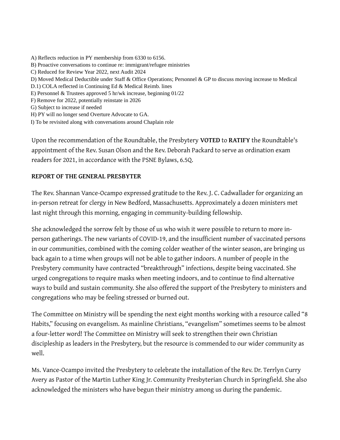- A) Reflects reduction in PY membership from 6330 to 6156. B) Proactive conversations to continue re: immigrant/refugee ministries C) Reduced for Review Year 2022, next Audit 2024 D) Moved Medical Deductible under Staff & Office Operations; Personnel & GP to discuss moving increase to Medical D.1) COLA reflected in Continuing Ed & Medical Reimb. lines E) Personnel & Trustees approved 5 hr/wk increase, beginning 01/22 F) Remove for 2022, potentially reinstate in 2026 G) Subject to increase if needed H) PY will no longer send Overture Advocate to GA.
- I) To be revisited along with conversations around Chaplain role

Upon the recommendation of the Roundtable, the Presbytery **VOTED** to **RATIFY** the Roundtable's appointment of the Rev. Susan Olson and the Rev. Deborah Packard to serve as ordination exam readers for 2021, in accordance with the PSNE Bylaws, 6.5Q.

#### **REPORT OF THE GENERAL PRESBYTER**

The Rev. Shannan Vance-Ocampo expressed gratitude to the Rev. J. C. Cadwallader for organizing an in-person retreat for clergy in New Bedford, Massachusetts. Approximately a dozen ministers met last night through this morning, engaging in community-building fellowship.

She acknowledged the sorrow felt by those of us who wish it were possible to return to more inperson gatherings. The new variants of COVID-19, and the insufficient number of vaccinated persons in our communities, combined with the coming colder weather of the winter season, are bringing us back again to a time when groups will not be able to gather indoors. A number of people in the Presbytery community have contracted "breakthrough" infections, despite being vaccinated. She urged congregations to require masks when meeting indoors, and to continue to find alternative ways to build and sustain community. She also offered the support of the Presbytery to ministers and congregations who may be feeling stressed or burned out.

The Committee on Ministry will be spending the next eight months working with a resource called "8 Habits," focusing on evangelism. As mainline Christians, "evangelism" sometimes seems to be almost a four-letter word! The Committee on Ministry will seek to strengthen their own Christian discipleship as leaders in the Presbytery, but the resource is commended to our wider community as well.

Ms. Vance-Ocampo invited the Presbytery to celebrate the installation of the Rev. Dr. Terrlyn Curry Avery as Pastor of the Martin Luther King Jr. Community Presbyterian Church in Springfield. She also acknowledged the ministers who have begun their ministry among us during the pandemic.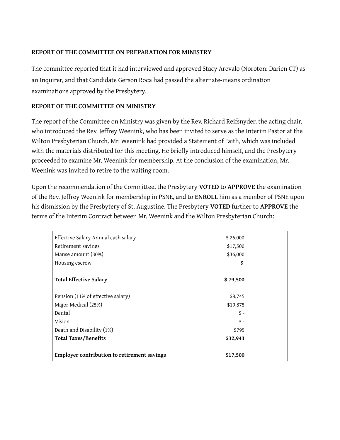#### **REPORT OF THE COMMITTEE ON PREPARATION FOR MINISTRY**

The committee reported that it had interviewed and approved Stacy Arevalo (Noroton: Darien CT) as an Inquirer, and that Candidate Gerson Roca had passed the alternate-means ordination examinations approved by the Presbytery.

#### **REPORT OF THE COMMITTEE ON MINISTRY**

The report of the Committee on Ministry was given by the Rev. Richard Reifsnyder, the acting chair, who introduced the Rev. Jeffrey Weenink, who has been invited to serve as the Interim Pastor at the Wilton Presbyterian Church. Mr. Weenink had provided a Statement of Faith, which was included with the materials distributed for this meeting. He briefly introduced himself, and the Presbytery proceeded to examine Mr. Weenink for membership. At the conclusion of the examination, Mr. Weenink was invited to retire to the waiting room.

Upon the recommendation of the Committee, the Presbytery **VOTED** to **APPROVE** the examination of the Rev. Jeffrey Weenink for membership in PSNE, and to **ENROLL** him as a member of PSNE upon his dismission by the Presbytery of St. Augustine. The Presbytery **VOTED** further to **APPROVE** the terms of the Interim Contract between Mr. Weenink and the Wilton Presbyterian Church:

| Effective Salary Annual cash salary         | \$26,000 |  |
|---------------------------------------------|----------|--|
| Retirement savings                          | \$17,500 |  |
| Manse amount (30%)                          | \$36,000 |  |
| Housing escrow                              | \$       |  |
|                                             |          |  |
| <b>Total Effective Salary</b>               | \$79,500 |  |
|                                             |          |  |
| Pension (11% of effective salary)           | \$8,745  |  |
| Major Medical (25%)                         | \$19,875 |  |
| Dental                                      | $$ -$    |  |
| Vision                                      | $$ -$    |  |
| Death and Disability (1%)                   | \$795    |  |
| <b>Total Taxes/Benefits</b>                 | \$32,943 |  |
| Employer contribution to retirement savings | \$17,500 |  |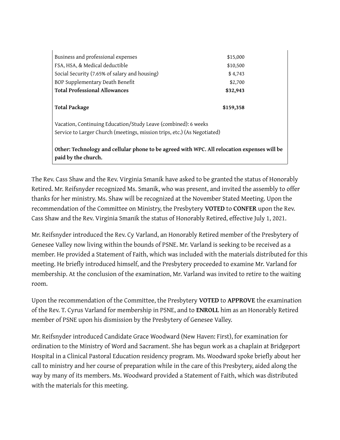| Business and professional expenses                                                          | \$15,000  |  |  |  |
|---------------------------------------------------------------------------------------------|-----------|--|--|--|
| FSA, HSA, & Medical deductible                                                              | \$10,500  |  |  |  |
| Social Security (7.65% of salary and housing)                                               | \$4,743   |  |  |  |
| BOP Supplementary Death Benefit                                                             | \$2,700   |  |  |  |
| <b>Total Professional Allowances</b>                                                        | \$32,943  |  |  |  |
|                                                                                             |           |  |  |  |
| <b>Total Package</b>                                                                        | \$159,358 |  |  |  |
|                                                                                             |           |  |  |  |
| Vacation, Continuing Education/Study Leave (combined): 6 weeks                              |           |  |  |  |
| Service to Larger Church (meetings, mission trips, etc.) (As Negotiated)                    |           |  |  |  |
|                                                                                             |           |  |  |  |
| Other: Technology and cellular phone to be agreed with WPC. All relocation expenses will be |           |  |  |  |
| paid by the church.                                                                         |           |  |  |  |

The Rev. Cass Shaw and the Rev. Virginia Smanik have asked to be granted the status of Honorably Retired. Mr. Reifsnyder recognized Ms. Smanik, who was present, and invited the assembly to offer thanks for her ministry. Ms. Shaw will be recognized at the November Stated Meeting. Upon the recommendation of the Committee on Ministry, the Presbytery **VOTED** to **CONFER** upon the Rev. Cass Shaw and the Rev. Virginia Smanik the status of Honorably Retired, effective July 1, 2021.

Mr. Reifsnyder introduced the Rev. Cy Varland, an Honorably Retired member of the Presbytery of Genesee Valley now living within the bounds of PSNE. Mr. Varland is seeking to be received as a member. He provided a Statement of Faith, which was included with the materials distributed for this meeting. He briefly introduced himself, and the Presbytery proceeded to examine Mr. Varland for membership. At the conclusion of the examination, Mr. Varland was invited to retire to the waiting room.

Upon the recommendation of the Committee, the Presbytery **VOTED** to **APPROVE** the examination of the Rev. T. Cyrus Varland for membership in PSNE, and to **ENROLL** him as an Honorably Retired member of PSNE upon his dismission by the Presbytery of Genesee Valley.

Mr. Reifsnyder introduced Candidate Grace Woodward (New Haven: First), for examination for ordination to the Ministry of Word and Sacrament. She has begun work as a chaplain at Bridgeport Hospital in a Clinical Pastoral Education residency program. Ms. Woodward spoke briefly about her call to ministry and her course of preparation while in the care of this Presbytery, aided along the way by many of its members. Ms. Woodward provided a Statement of Faith, which was distributed with the materials for this meeting.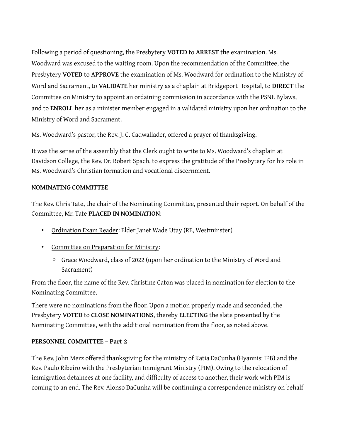Following a period of questioning, the Presbytery **VOTED** to **ARREST** the examination. Ms. Woodward was excused to the waiting room. Upon the recommendation of the Committee, the Presbytery **VOTED** to **APPROVE** the examination of Ms. Woodward for ordination to the Ministry of Word and Sacrament, to **VALIDATE** her ministry as a chaplain at Bridgeport Hospital, to **DIRECT** the Committee on Ministry to appoint an ordaining commission in accordance with the PSNE Bylaws, and to **ENROLL** her as a minister member engaged in a validated ministry upon her ordination to the Ministry of Word and Sacrament.

Ms. Woodward's pastor, the Rev. J. C. Cadwallader, offered a prayer of thanksgiving.

It was the sense of the assembly that the Clerk ought to write to Ms. Woodward's chaplain at Davidson College, the Rev. Dr. Robert Spach, to express the gratitude of the Presbytery for his role in Ms. Woodward's Christian formation and vocational discernment.

### **NOMINATING COMMITTEE**

The Rev. Chris Tate, the chair of the Nominating Committee, presented their report. On behalf of the Committee, Mr. Tate **PLACED IN NOMINATION**:

- Ordination Exam Reader: Elder Janet Wade Utay (RE, Westminster)
- Committee on Preparation for Ministry:
	- Grace Woodward, class of 2022 (upon her ordination to the Ministry of Word and Sacrament)

From the floor, the name of the Rev. Christine Caton was placed in nomination for election to the Nominating Committee.

There were no nominations from the floor. Upon a motion properly made and seconded, the Presbytery **VOTED** to **CLOSE NOMINATIONS**, thereby **ELECTING** the slate presented by the Nominating Committee, with the additional nomination from the floor, as noted above.

#### **PERSONNEL COMMITTEE – Part 2**

The Rev. John Merz offered thanksgiving for the ministry of Katia DaCunha (Hyannis: IPB) and the Rev. Paulo Ribeiro with the Presbyterian Immigrant Ministry (PIM). Owing to the relocation of immigration detainees at one facility, and difficulty of access to another, their work with PIM is coming to an end. The Rev. Alonso DaCunha will be continuing a correspondence ministry on behalf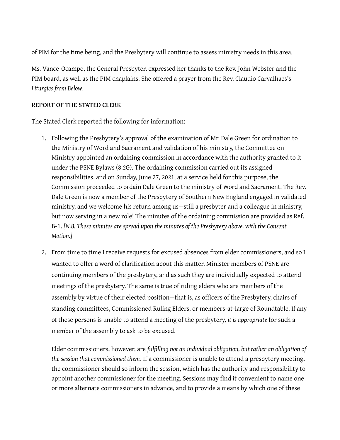of PIM for the time being, and the Presbytery will continue to assess ministry needs in this area.

Ms. Vance-Ocampo, the General Presbyter, expressed her thanks to the Rev. John Webster and the PIM board, as well as the PIM chaplains. She offered a prayer from the Rev. Claudio Carvalhaes's *Liturgies from Below*.

#### **REPORT OF THE STATED CLERK**

The Stated Clerk reported the following for information:

- 1. Following the Presbytery's approval of the examination of Mr. Dale Green for ordination to the Ministry of Word and Sacrament and validation of his ministry, the Committee on Ministry appointed an ordaining commission in accordance with the authority granted to it under the PSNE Bylaws (8.2G). The ordaining commission carried out its assigned responsibilities, and on Sunday, June 27, 2021, at a service held for this purpose, the Commission proceeded to ordain Dale Green to the ministry of Word and Sacrament. The Rev. Dale Green is now a member of the Presbytery of Southern New England engaged in validated ministry, and we welcome his return among us—still a presbyter and a colleague in ministry, but now serving in a new role! The minutes of the ordaining commission are provided as Ref. B-1. *[N.B. These minutes are spread upon the minutes of the Presbytery above, with the Consent Motion.]*
- 2. From time to time I receive requests for excused absences from elder commissioners, and so I wanted to offer a word of clarification about this matter. Minister members of PSNE are continuing members of the presbytery, and as such they are individually expected to attend meetings of the presbytery. The same is true of ruling elders who are members of the assembly by virtue of their elected position—that is, as officers of the Presbytery, chairs of standing committees, Commissioned Ruling Elders, or members-at-large of Roundtable. If any of these persons is unable to attend a meeting of the presbytery, *it is appropriate* for such a member of the assembly to ask to be excused.

Elder commissioners, however, are *fulfilling not an individual obligation, but rather an obligation of the session that commissioned them*. If a commissioner is unable to attend a presbytery meeting, the commissioner should so inform the session, which has the authority and responsibility to appoint another commissioner for the meeting. Sessions may find it convenient to name one or more alternate commissioners in advance, and to provide a means by which one of these